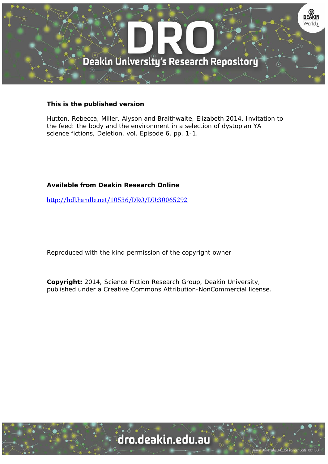

## **This is the published version**

Hutton, Rebecca, Miller, Alyson and Braithwaite, Elizabeth 2014, Invitation to the feed: the body and the environment in a selection of dystopian YA science fictions, Deletion, vol. Episode 6, pp. 1-1.

## **Available from Deakin Research Online**

http://hdl.handle.net/10536/DRO/DU:30065292

Reproduced with the kind permission of the copyright owner

**Copyright:** 2014, Science Fiction Research Group, Deakin University, published under a Creative Commons Attribution-NonCommercial license.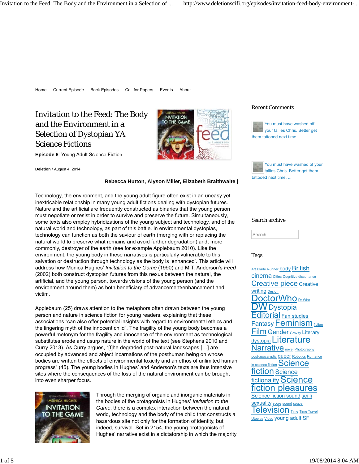# Invitation to the Feed: The Body and the Environment in a Selection of Dystopian YA Science Fictions

**Episode 6**: Young Adult Science Fiction



**Deletion** / August 4, 2014

#### **Rebecca Hutton, Alyson Miller, Elizabeth Braithwaite |**

Technology, the environment, and the young adult figure often exist in an uneasy yet inextricable relationship in many young adult fictions dealing with dystopian futures. Nature and the artificial are frequently constructed as binaries that the young person must negotiate or resist in order to survive and preserve the future. Simultaneously, some texts also employ hybridizations of the young subject and technology, and of the natural world and technology, as part of this battle. In environmental dystopias, technology can function as both the saviour of earth (merging with or replacing the natural world to preserve what remains and avoid further degradation) and, more commonly, destroyer of the earth (see for example Applebaum 2010). Like the environment, the young body in these narratives is particularly vulnerable to this salvation or destruction through technology as the body is 'enhanced'. This article will address how Monica Hughes' *Invitation to the Game* (1990) and M.T. Anderson's *Feed* (2002) both construct dystopian futures from this nexus between the natural, the artificial, and the young person, towards visions of the young person (and the environment around them) as both beneficiary of advancement/enhancement and victim.

Applebaum (25) draws attention to the metaphors often drawn between the young person and nature in science fiction for young readers, explaining that these associations "can also offer potential insights with regard to environmental ethics and the lingering myth of the innocent child". The fragility of the young body becomes a powerful metonym for the fragility and innocence of the environment as technological substitutes erode and usurp nature in the world of the text (see Stephens 2010 and Curry 2013). As Curry argues, "[t]he degraded post-natural landscapes […] are occupied by advanced and abject incarnations of the posthuman being on whose bodies are written the effects of environmental toxicity and an ethos of unlimited human progress" (45). The young bodies in Hughes' and Anderson's texts are thus intensive sites where the consequences of the loss of the natural environment can be brought into even sharper focus.



Through the merging of organic and inorganic materials in the bodies of the protagonists in Hughes' *Invitation to the Game*, there is a complex interaction between the natural world, technology and the body of the child that constructs a hazardous site not only for the formation of identity, but indeed, survival. Set in 2154, the young protagonists of Hughes' narrative exist in a dictatorship in which the majority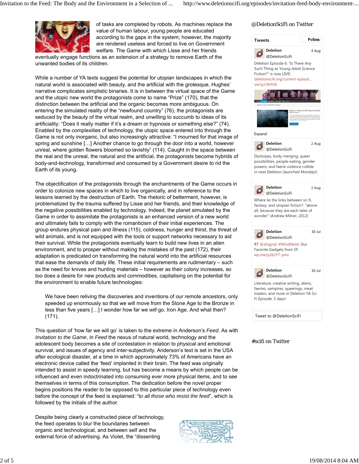

of tasks are completed by robots. As machines replace the value of human labour, young people are educated according to the gaps in the system; however, the majority are rendered useless and forced to live on Government welfare. The Game with which Lisse and her friends

eventually engage functions as an extension of a strategy to remove Earth of the unwanted bodies of its children.

While a number of YA texts suggest the potential for utopian landscapes in which the natural world is associated with beauty, and the artificial with the grotesque, Hughes' narrative complicates simplistic binaries. It is in between the virtual space of the Game and the utopic new world the protagonists come to name "Prize" (170), that the distinction between the artificial and the organic becomes more ambiguous. On entering the simulated reality of the "newfound country" (76), the protagonists are seduced by the beauty of the virtual realm, and unwilling to succumb to ideas of its artificiality: "Does it really matter if it's a dream or hypnosis or something else?" (74). Enabled by the complexities of technology, the utopic space entered into through the Game is not only inorganic, but also increasingly attractive: "I mourned for that image of spring and sunshine […] Another chance to go through the door into a world, however unreal, where golden flowers bloomed so lavishly" (114). Caught in the space between the real and the unreal, the natural and the artificial, the protagonists become hybrids of body-and-technology, transformed and consumed by a Government desire to rid the Earth of its young.

The objectification of the protagonists through the enchantments of the Game occurs in order to colonize new spaces in which to live organically, and in reference to the lessons learned by the destruction of Earth. The rhetoric of betterment, however, is problematized by the trauma suffered by Lisse and her friends, and their knowledge of the negative possibilities enabled by technology. Indeed, the planet simulated by the Game in order to assimilate the protagonists is an enhanced version of a new world and ultimately fails to comply with the romanticism of their initial experiences. The group endures physical pain and illness (115), coldness, hunger and thirst, the threat of wild animals, and is not equipped with the tools or support networks necessary to aid their survival. While the protagonists eventually learn to build new lives in an alien environment, and to prosper without making the mistakes of the past (172), their adaptation is predicated on transforming the natural world into the artificial resources that ease the demands of daily life. These initial requirements are rudimentary – such as the need for knives and hunting materials – however as their colony increases, so too does a desire for new products and commodities, capitalising on the potential for the environment to enable future technologies:

We have been reliving the discoveries and inventions of our remote ancestors, only speeded up enormously so that we will move from the Stone Age to the Bronze in less than five years […] I wonder how far we *will* go. Iron Age. And what then? (171).

This question of 'how far we will go' is taken to the extreme in Anderson's *Feed*. As with *Invitation to the Game*, in *Feed* the nexus of natural world, technology and the adolescent body becomes a site of contestation in relation to physical and emotional survival, and issues of agency and inter-subjectivity. Anderson's text is set in the USA after ecological disaster, at a time in which approximately 73% of Americans have an electronic device called the 'feed' implanted in their brain. The feed was originally intended to assist in speedy learning, but has become a means by which people can be influenced and even indoctrinated into consuming ever more physical items, and to see themselves in terms of this consumption. The dedication before the novel proper begins positions the reader to be opposed to this particular piece of technology even before the concept of the feed is explained: "t*o all those who resist the feed*", which is followed by the initials of the author.

Despite being clearly a constructed piece of technology, the feed operates to blur the boundaries between organic and technological, and between self and the external force of advertising. As Violet, the "dissenting

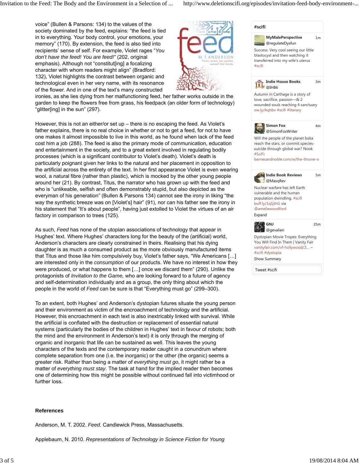voice" (Bullen & Parsons: 134) to the values of the society dominated by the feed, explains: "the feed is tied in to everything. Your body control, your emotions, your memory" (170). By extension, the feed is also tied into recipients' sense of self. For example, Violet rages "*You don't have the feed! You are feed!"* (202, original emphasis). Although not "constitut[ing] a focalizing character with whom readers might align" (Bradford: 132), Violet highlights the contrast between organic and technological even in her very name, with its resonance of the flower. And in one of the text's many constructed



ironies, as she lies dying from her malfunctioning feed, her father works outside in the garden to keep the flowers free from grass, his feedpack (an older form of technology) "glitter[ing] in the sun" (297).

However, this is not an either/or set up – there is no escaping the feed. As Violet's father explains, there is no real choice in whether or not to get a feed, for not to have one makes it almost impossible to live in this world, as he found when lack of the feed cost him a job (288). The feed is also the primary mode of communication, education and entertainment in the society, and to a great extent involved in regulating bodily processes (which is a significant contributor to Violet's death). Violet's death is particularly poignant given her links to the natural and her placement in opposition to the artificial across the entirety of the text. In her first appearance Violet is even wearing wool, a natural fibre (rather than plastic), which is mocked by the other young people around her (21). By contrast, Titus, the narrator who has grown up with the feed and who is "unlikeable, selfish and often demonstrably stupid, but also depicted as the everyman of his generation" (Bullen & Parsons 134) cannot see the irony in liking "the way the synthetic breeze was on [Violet's] hair" (91), nor can his father see the irony in his statement that "It's about people", having just extolled to Violet the virtues of an air factory in comparison to trees (125).

As such, *Feed* has none of the utopian associations of technology that appear in Hughes' text. Where Hughes' characters long for the beauty of the (artificial) world, Anderson's characters are clearly constrained in theirs. Realising that his dying daughter is as much a consumed product as the more obviously manufactured items that Titus and those like him compulsively buy, Violet's father says, "We Americans […] are interested only in the *consumption* of our products. We have no interest in how they were produced, or what happens to them […] once we discard them" (290). Unlike the protagonists of *Invitation to the Game,* who are looking forward to a future of agency and self-determination individually and as a group, the only thing about which the people in the world of *Feed* can be sure is that "Everything must go" (299–300).

To an extent, both Hughes' and Anderson's dystopian futures situate the young person and their environment as victim of the encroachment of technology and the artificial. However, this encroachment in each text is also inextricably linked with survival. While the artificial is conflated with the destruction or replacement of essential natural systems (particularly the bodies of the children in Hughes' text in favour of robots; both the mind and the environment in Anderson's text) it is only through the merging of organic and inorganic that life can be sustained as well. This leaves the young characters of the texts and the contemporary reader caught in a conundrum where complete separation from one (i.e. the inorganic) or the other (the organic) seems a greater risk. Rather than being a matter of *everything must go*, it might rather be a matter of *everything must stay*. The task at hand for the implied reader then becomes one of determining how this might be possible without continued fall into victimhood or further loss.

### **References**

Anderson, M. T. 2002. *Feed*. Candlewick Press, Massachusetts.

Applebaum, N. 2010. *Representations of Technology in Science Fiction for Young*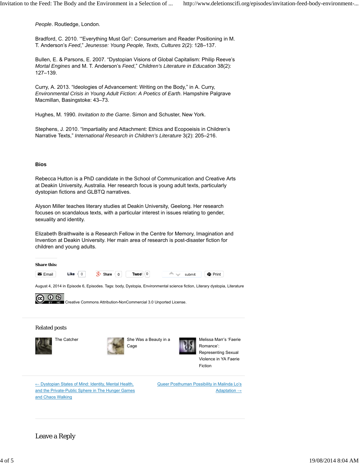*People*. Routledge, London.

Bradford, C. 2010. '"Everything Must Go!': Consumerism and Reader Positioning in M. T. Anderson's *Feed*," *Jeunesse: Young People, Texts, Cultures* 2(2): 128–137.

Bullen, E. & Parsons, E. 2007. "Dystopian Visions of Global Capitalism: Philip Reeve's *Mortal Engines* and M. T. Anderson's *Feed*," *Children's Literature in Education* 38(2): 127–139.

Curry, A. 2013. "Ideologies of Advancement: Writing on the Body," in A. Curry, *Environmental Crisis in Young Adult Fiction: A Poetics of Earth*. Hampshire Palgrave Macmillan, Basingstoke: 43–73.

Hughes, M. 1990. *Invitation to the Game*. Simon and Schuster, New York.

Stephens, J. 2010. "Impartiality and Attachment: Ethics and Ecopoeisis in Children's Narrative Texts," *International Research in Children's Literature* 3(2): 205–216.

#### **Bios**

Rebecca Hutton is a PhD candidate in the School of Communication and Creative Arts at Deakin University, Australia. Her research focus is young adult texts, particularly dystopian fictions and GLBTQ narratives.

Alyson Miller teaches literary studies at Deakin University, Geelong. Her research focuses on scandalous texts, with a particular interest in issues relating to gender, sexuality and identity.

Elizabeth Braithwaite is a Research Fellow in the Centre for Memory, Imagination and Invention at Deakin University. Her main area of research is post-disaster fiction for children and young adults.